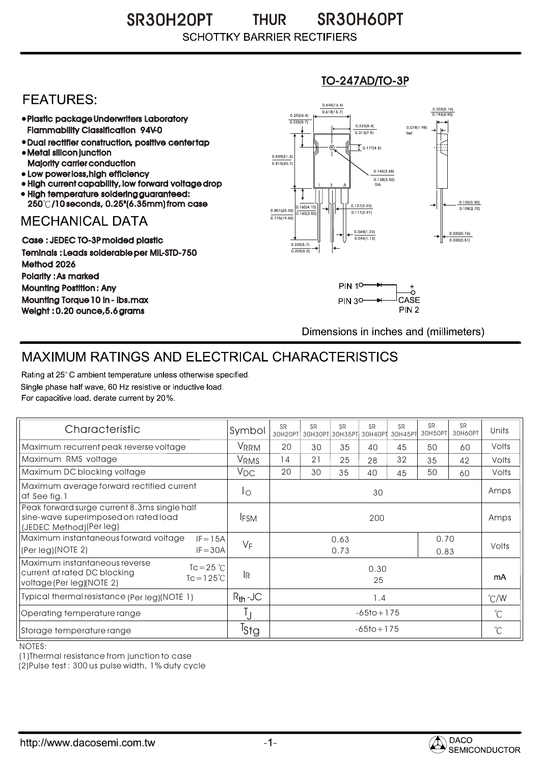### SR30H20PT SR30H60PT THUR **SCHOTTKY BARRIER RECTIFIERS**

## **FEATURES:**

- Plastic package Underwriters Laboratory Flammability Classification 94V-0
- Dual rectifier construction, positive center tap Metal silicon junction
- Majority carrier conduction
- Low power loss, high efficiency
- High current capability, low forward voltage drop • High temperature soldering guaranteed:
- 250 /10 seconds, 0.25"(6.35mm) from case

## **MECHANICAL DATA**

Case : JEDEC TO-3P molded plastic Teminals : Leads solderable per MIL-STD-750 Method 2026 Polarity : As marked Mounting Postition : Any Mounting Torque 10 in - lbs.max Weight : 0.20 ounce,5.6 grams

#### 0.160(4.10)  $0.140(3)$ 0.127(3.22) 0.117(2.97) 0.030(0.76) 0.020(0.51) 0.801(20.35) 0.138(3.50) 0.145(3.68) 0.775(19.60) 0.839(21.3)<br>0.815(20.7) 0.252(6.4) 0.225(5.7)  $0.618(15.7)$ 0.645(16.4) 0.203(5.16) 0.193(4.90) 1 2 3 DIA  $\overline{1}$  0.177(4.5) 0.078(1.98) Ref. 0.130(3.30)<br>0.108(2.70) 0.225(5.7) 0.205(5.2)  $0.313(7.9)$ 0.323(8.4) 0.048(1.22) 0.044(1.12)

TO-247AD/TO-3P



Dimensions in inches and (millimeters)

# MAXIMUM RATINGS AND ELECTRICAL CHARACTERISTICS

Rating at 25° C ambient temperature unless otherwise specified. Single phase half wave, 60 Hz resistive or inductive load. For capacitive load, derate current by 20%.

| Characteristic                                                                                                                             | Symbol           | <b>SR</b>                    | <b>SR</b> | <b>SR</b><br>30Н20РТ 30Н30РТ 30Н35РТ 30Н40РТ | <b>SR</b> | SP | <b>SR</b><br>30H45PT 30H50PT | <b>SR</b><br>30H60PT | Units         |
|--------------------------------------------------------------------------------------------------------------------------------------------|------------------|------------------------------|-----------|----------------------------------------------|-----------|----|------------------------------|----------------------|---------------|
| Maximum recurrent peak reverse voltage                                                                                                     | VRRM             | 20                           | 30        | 35                                           | 40        | 45 | 50                           | 60                   | Volts         |
| Maximum RMS voltage                                                                                                                        | VRMS             | 14                           | 21        | 25                                           | 28        | 32 | 35                           | 42                   | Volts         |
| Maximum DC blocking voltage                                                                                                                | $V_{DC}$         | 20                           | 30        | 35                                           | 40        | 45 | 50                           | 60                   | Volts         |
| Maximum average forward rectified current<br>at See fig.1                                                                                  | Ιo               | 30                           |           |                                              |           |    |                              |                      | Amps          |
| Peak forward surge current 8.3ms single half<br>sine-wave superimposed on rated load<br>(JEDEC Method) (Per leg)                           | <b>IFSM</b>      | 200                          |           |                                              |           |    |                              |                      | Amps          |
| Maximum instantaneous forward voltage<br>$IF = 15A$<br>$IF = 30A$<br>(Per leg)(NOTE 2)                                                     | $V_F$            | 0.70<br>0.63<br>0.73<br>0.83 |           |                                              |           |    |                              | Volts                |               |
| Maximum instantaneous reverse<br>$Tc = 25$ $\degree$ C<br>current at rated DC blocking<br>$Tc = 125^{\circ}C$<br>voltage (Per leg)(NOTE 2) | lR.              | 0.30<br>25                   |           |                                              |           |    |                              | mA                   |               |
| Typical thermal resistance (Per leg)(NOTE 1)                                                                                               | $R_{th}$ -JC     | 1.4                          |           |                                              |           |    |                              |                      | $\degree$ C/W |
| Operating temperature range                                                                                                                |                  | $-65$ to + 175               |           |                                              |           |    |                              |                      | $^{\circ}$ C  |
| Storage temperature range                                                                                                                  | <sup>I</sup> stg | $-65$ to + 175               |           |                                              |           |    |                              |                      | $^{\circ}$ C  |

NOTES:

(1)Thermal resistance from junction to case

(2)Pulse test : 300 us pulse width, 1% duty cycle